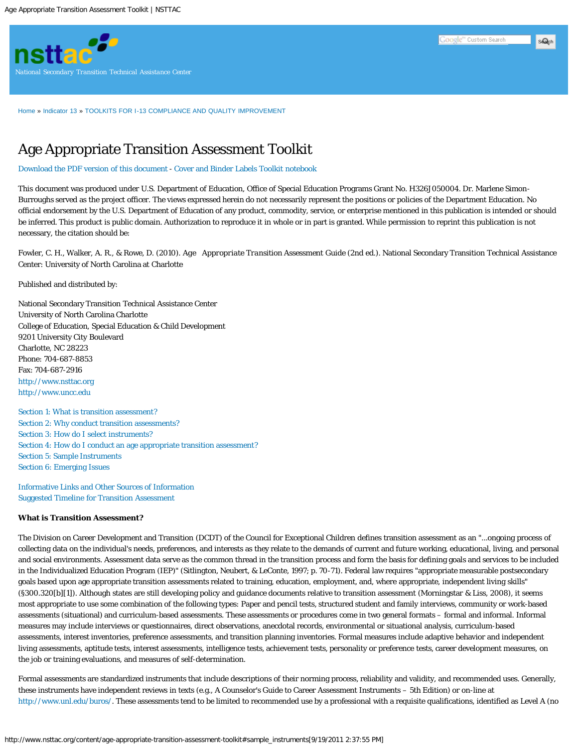

[Home](http://www.nsttac.org/) » [Indicator 13](http://www.nsttac.org/content/what-indicator-13) » [TOOLKITS FOR I-13 COMPLIANCE AND QUALITY IMPROVEMENT](http://www.nsttac.org/content/toolkits-i-13-compliance-and-improved-quality)

# Age Appropriate Transition Assessment Toolkit

[Download the PDF version of this document](http://www.nsttac.org/sites/default/files/assets/pdf/Tag.pdf) - [Cover and Binder Labels Toolkit notebook](http://www.nsttac.org/sites/default/files/assets/pdf/TAGToolkitCoverAndBinders.pdf)

This document was produced under U.S. Department of Education, Office of Special Education Programs Grant No. H326J050004. Dr. Marlene Simon-Burroughs served as the project officer. The views expressed herein do not necessarily represent the positions or policies of the Department Education. No official endorsement by the U.S. Department of Education of any product, commodity, service, or enterprise mentioned in this publication is intended or should be inferred. This product is public domain. Authorization to reproduce it in whole or in part is granted. While permission to reprint this publication is not necessary, the citation should be:

Fowler, C. H., Walker, A. R., & Rowe, D. (2010). *Age Appropriate Transition Assessment Guide* (2nd ed.). National Secondary Transition Technical Assistance Center: University of North Carolina at Charlotte

Published and distributed by:

National Secondary Transition Technical Assistance Center University of North Carolina Charlotte College of Education, Special Education & Child Development 9201 University City Boulevard Charlotte, NC 28223 Phone: 704-687-8853 Fax: 704-687-2916 [http://www.nsttac.org](http://www.nsttac.org/) [http://www.uncc.edu](http://www.uncc.edu/)

[Section 1: What is transition assessment?](#page-0-0) [Section 2: Why conduct transition assessments?](#page-1-0) [Section 3: How do I select instruments?](#page-1-1) [Section 4: How do I conduct an age appropriate transition assessment?](#page-2-0) [Section 5: Sample Instruments](#page-2-1) [Section 6: Emerging Issues](#page-5-0)

[Informative Links and Other Sources of Information](#page-8-0) [Suggested Timeline for Transition Assessment](#page-9-0)

## <span id="page-0-0"></span>**What is Transition Assessment?**

The Division on Career Development and Transition (DCDT) of the Council for Exceptional Children defines transition assessment as an "...ongoing process of collecting data on the individual's needs, preferences, and interests as they relate to the demands of current and future working, educational, living, and personal and social environments. Assessment data serve as the common thread in the transition process and form the basis for defining goals and services to be included in the Individualized Education Program (IEP)" (Sitlington, Neubert, & LeConte, 1997; p. 70-71). Federal law requires "appropriate measurable postsecondary goals based upon age appropriate transition assessments related to training, education, employment, and, where appropriate, independent living skills" (§300.320[b][1]). Although states are still developing policy and guidance documents relative to transition assessment (Morningstar & Liss, 2008), it seems most appropriate to use some combination of the following types: Paper and pencil tests, structured student and family interviews, community or work-based assessments (situational) and curriculum-based assessments. These assessments or procedures come in two general formats – formal and informal. Informal measures may include interviews or questionnaires, direct observations, anecdotal records, environmental or situational analysis, curriculum-based assessments, interest inventories, preference assessments, and transition planning inventories. Formal measures include adaptive behavior and independent living assessments, aptitude tests, interest assessments, intelligence tests, achievement tests, personality or preference tests, career development measures, on the job or training evaluations, and measures of self-determination.

Formal assessments are standardized instruments that include descriptions of their norming process, reliability and validity, and recommended uses. Generally, these instruments have independent reviews in texts (e.g., A Counselor's Guide to Career Assessment Instruments – 5th Edition) or on-line at <http://www.unl.edu/buros/>. These assessments tend to be limited to recommended use by a professional with a requisite qualifications, identified as Level A (no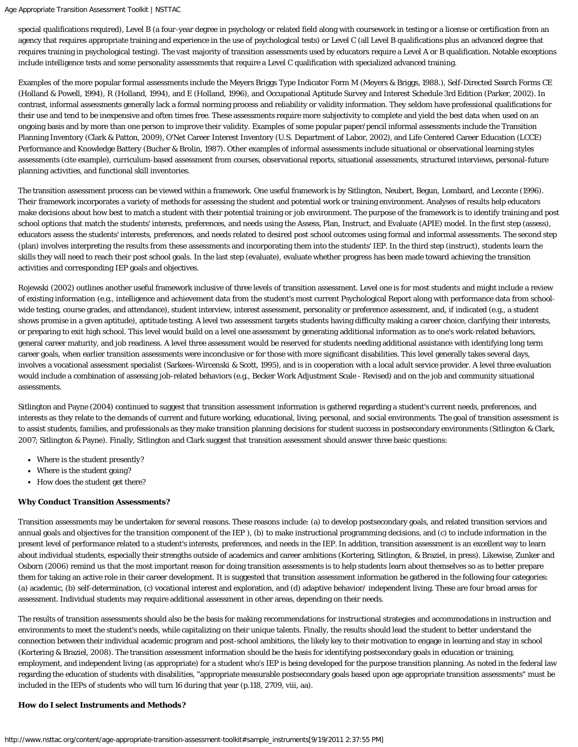special qualifications required), Level B (a four-year degree in psychology or related field along with coursework in testing or a license or certification from an agency that requires appropriate training and experience in the use of psychological tests) or Level C (all Level B qualifications plus an advanced degree that requires training in psychological testing). The vast majority of transition assessments used by educators require a Level A or B qualification. Notable exceptions include intelligence tests and some personality assessments that require a Level C qualification with specialized advanced training.

Examples of the more popular formal assessments include the Meyers Briggs Type Indicator Form M (Meyers & Briggs, 1988.), Self-Directed Search Forms CE (Holland & Powell, 1994), R (Holland, 1994), and E (Holland, 1996), and Occupational Aptitude Survey and Interest Schedule 3rd Edition (Parker, 2002). In contrast, informal assessments generally lack a formal norming process and reliability or validity information. They seldom have professional qualifications for their use and tend to be inexpensive and often times free. These assessments require more subjectivity to complete and yield the best data when used on an ongoing basis and by more than one person to improve their validity. Examples of some popular paper/pencil informal assessments include the Transition Planning Inventory (Clark & Patton, 2009), O'Net Career Interest Inventory (U.S. Department of Labor, 2002), and Life Centered Career Education (LCCE) Performance and Knowledge Battery (Bucher & Brolin, 1987). Other examples of informal assessments include situational or observational learning styles assessments (cite example), curriculum-based assessment from courses, observational reports, situational assessments, structured interviews, personal-future planning activities, and functional skill inventories.

The transition assessment process can be viewed within a framework. One useful framework is by Sitlington, Neubert, Begun, Lombard, and Leconte (1996). Their framework incorporates a variety of methods for assessing the student and potential work or training environment. Analyses of results help educators make decisions about how best to match a student with their potential training or job environment. The purpose of the framework is to identify training and post school options that match the students' interests, preferences, and needs using the Assess, Plan, Instruct, and Evaluate (APIE) model. In the first step (assess), educators assess the students' interests, preferences, and needs related to desired post school outcomes using formal and informal assessments. The second step (plan) involves interpreting the results from these assessments and incorporating them into the students' IEP. In the third step (instruct), students learn the skills they will need to reach their post school goals. In the last step (evaluate), evaluate whether progress has been made toward achieving the transition activities and corresponding IEP goals and objectives.

Rojewski (2002) outlines another useful framework inclusive of three levels of transition assessment. Level one is for most students and might include a review of existing information (e.g., intelligence and achievement data from the student's most current Psychological Report along with performance data from schoolwide testing, course grades, and attendance), student interview, interest assessment, personality or preference assessment, and, if indicated (e.g., a student shows promise in a given aptitude), aptitude testing. A level two assessment targets students having difficulty making a career choice, clarifying their interests, or preparing to exit high school. This level would build on a level one assessment by generating additional information as to one's work-related behaviors, general career maturity, and job readiness. A level three assessment would be reserved for students needing additional assistance with identifying long term career goals, when earlier transition assessments were inconclusive or for those with more significant disabilities. This level generally takes several days, involves a vocational assessment specialist (Sarkees-Wircenski & Scott, 1995), and is in cooperation with a local adult service provider. A level three evaluation would include a combination of assessing job-related behaviors (e.g., Becker Work Adjustment Scale - Revised) and on the job and community situational assessments.

Sitlington and Payne (2004) continued to suggest that transition assessment information is gathered regarding a student's current needs, preferences, and interests as they relate to the demands of current and future working, educational, living, personal, and social environments. The goal of transition assessment is to assist students, families, and professionals as they make transition planning decisions for student success in postsecondary environments (Sitlington & Clark, 2007; Sitlington & Payne). Finally, Sitlington and Clark suggest that transition assessment should answer three basic questions:

- Where is the student presently?
- Where is the student going?
- How does the student get there?

## <span id="page-1-0"></span>**Why Conduct Transition Assessments?**

Transition assessments may be undertaken for several reasons. These reasons include: (a) to develop postsecondary goals, and related transition services and annual goals and objectives for the transition component of the IEP ), (b) to make instructional programming decisions, and (c) to include information in the present level of performance related to a student's interests, preferences, and needs in the IEP. In addition, transition assessment is an excellent way to learn about individual students, especially their strengths outside of academics and career ambitions (Kortering, Sitlington, & Braziel, in press). Likewise, Zunker and Osborn (2006) remind us that the most important reason for doing transition assessments is to help students learn about themselves so as to better prepare them for taking an active role in their career development. It is suggested that transition assessment information be gathered in the following four categories: (a) academic, (b) self-determination, (c) vocational interest and exploration, and (d) adaptive behavior/ independent living. These are four broad areas for assessment. Individual students may require additional assessment in other areas, depending on their needs.

The results of transition assessments should also be the basis for making recommendations for instructional strategies and accommodations in instruction and environments to meet the student's needs, while capitalizing on their unique talents. Finally, the results should lead the student to better understand the connection between their individual academic program and post-school ambitions, the likely key to their motivation to engage in learning and stay in school (Kortering & Braziel, 2008). The transition assessment information should be the basis for identifying postsecondary goals in education or training, employment, and independent living (as appropriate) for a student who's IEP is being developed for the purpose transition planning. As noted in the federal law regarding the education of students with disabilities, "appropriate measurable postsecondary goals based upon age appropriate transition assessments" must be included in the IEPs of students who will turn 16 during that year (p.118, 2709, viii, aa).

## <span id="page-1-1"></span>**How do I select Instruments and Methods?**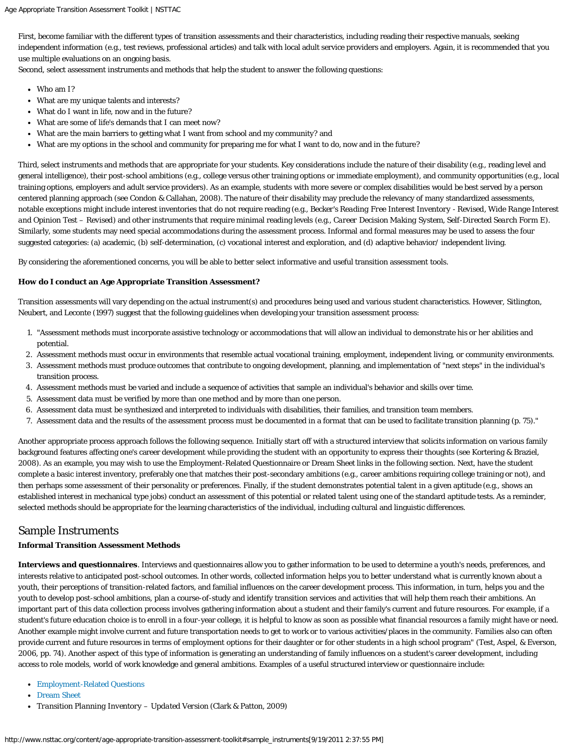First, become familiar with the different types of transition assessments and their characteristics, including reading their respective manuals, seeking independent information (e.g., test reviews, professional articles) and talk with local adult service providers and employers. Again, it is recommended that you use multiple evaluations on an ongoing basis.

Second, select assessment instruments and methods that help the student to answer the following questions:

- Who am I?
- What are my unique talents and interests?
- What do I want in life, now and in the future?
- What are some of life's demands that I can meet now?
- What are the main barriers to getting what I want from school and my community? and
- What are my options in the school and community for preparing me for what I want to do, now and in the future?

Third, select instruments and methods that are appropriate for your students. Key considerations include the nature of their disability (e.g., reading level and general intelligence), their post-school ambitions (e.g., college versus other training options or immediate employment), and community opportunities (e.g., local training options, employers and adult service providers). As an example, students with more severe or complex disabilities would be best served by a person centered planning approach (see Condon & Callahan, 2008). The nature of their disability may preclude the relevancy of many standardized assessments, notable exceptions might include interest inventories that do not require reading (e.g., *Becker's Reading Free Interest Inventory - Revised*, *Wide Range Interest and Opinion Test – Revised*) and other instruments that require minimal reading levels (e.g., *Career Decision Making System, Self-Directed Search Form E*). Similarly, some students may need special accommodations during the assessment process. Informal and formal measures may be used to assess the four suggested categories: (a) academic, (b) self-determination, (c) vocational interest and exploration, and (d) adaptive behavior/ independent living.

By considering the aforementioned concerns, you will be able to better select informative and useful transition assessment tools.

#### <span id="page-2-0"></span>**How do I conduct an Age Appropriate Transition Assessment?**

Transition assessments will vary depending on the actual instrument(s) and procedures being used and various student characteristics. However, Sitlington, Neubert, and Leconte (1997) suggest that the following guidelines when developing your transition assessment process:

- 1. "Assessment methods must incorporate assistive technology or accommodations that will allow an individual to demonstrate his or her abilities and potential.
- 2. Assessment methods must occur in environments that resemble actual vocational training, employment, independent living, or community environments.
- 3. Assessment methods must produce outcomes that contribute to ongoing development, planning, and implementation of "next steps" in the individual's transition process.
- 4. Assessment methods must be varied and include a sequence of activities that sample an individual's behavior and skills over time.
- 5. Assessment data must be verified by more than one method and by more than one person.
- 6. Assessment data must be synthesized and interpreted to individuals with disabilities, their families, and transition team members.
- 7. Assessment data and the results of the assessment process must be documented in a format that can be used to facilitate transition planning (p. 75)."

Another appropriate process approach follows the following sequence. Initially start off with a structured interview that solicits information on various family background features affecting one's career development while providing the student with an opportunity to express their thoughts (see Kortering & Braziel, 2008). As an example, you may wish to use the Employment-Related Questionnaire or Dream Sheet links in the following section. Next, have the student complete a basic interest inventory, preferably one that matches their post-secondary ambitions (e.g., career ambitions requiring college training or not), and then perhaps some assessment of their personality or preferences. Finally, if the student demonstrates potential talent in a given aptitude (e.g., shows an established interest in mechanical type jobs) conduct an assessment of this potential or related talent using one of the standard aptitude tests. As a reminder, selected methods should be appropriate for the learning characteristics of the individual, including cultural and linguistic differences.

## <span id="page-2-1"></span>Sample Instruments

## **Informal Transition Assessment Methods**

**Interviews and questionnaires**. Interviews and questionnaires allow you to gather information to be used to determine a youth's needs, preferences, and interests relative to anticipated post-school outcomes. In other words, collected information helps you to better understand what is currently known about a youth, their perceptions of transition-related factors, and familial influences on the career development process. This information, in turn, helps you and the youth to develop post-school ambitions, plan a course-of-study and identify transition services and activities that will help them reach their ambitions. An important part of this data collection process involves gathering information about a student and their family's current and future resources. For example, if a student's future education choice is to enroll in a four-year college, it is helpful to know as soon as possible what financial resources a family might have or need. Another example might involve current and future transportation needs to get to work or to various activities/places in the community. Families also can often provide current and future resources in terms of employment options for their daughter or for other students in a high school program" (Test, Aspel, & Everson, 2006, pp. 74). Another aspect of this type of information is generating an understanding of family influences on a student's career development, including access to role models, world of work knowledge and general ambitions. Examples of a useful structured interview or questionnaire include:

- [Employment-Related Questions](http://www.nsttac.org/sites/default/files/assets/pdf/employment_relations_questions.pdf)
- [Dream Sheet](http://www.nsttac.org/sites/default/files/assets/pdf/pdf/transition_guide/dreamsheet.pdf)
- *Transition Planning Inventory Updated Version* (Clark & Patton, 2009)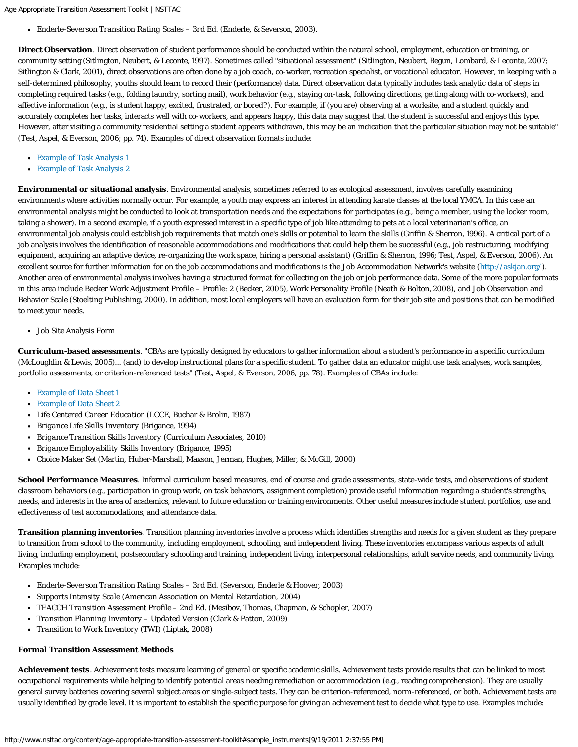*Enderle-Severson Transition Rating Scales – 3rd Ed.* (Enderle, & Severson, 2003).

**Direct Observation**. Direct observation of student performance should be conducted within the natural school, employment, education or training, or community setting (Sitlington, Neubert, & Leconte, 1997). Sometimes called "situational assessment" (Sitlington, Neubert, Begun, Lombard, & Leconte, 2007; Sitlington & Clark, 2001), direct observations are often done by a job coach, co-worker, recreation specialist, or vocational educator. However, in keeping with a self-determined philosophy, youths should learn to record their (performance) data. Direct observation data typically includes task analytic data of steps in completing required tasks (e.g., folding laundry, sorting mail), work behavior (e.g., staying on-task, following directions, getting along with co-workers), and affective information (e.g., is student happy, excited, frustrated, or bored?). For example, if (you are) observing at a worksite, and a student quickly and accurately completes her tasks, interacts well with co-workers, and appears happy, this data may suggest that the student is successful and enjoys this type. However, after visiting a community residential setting a student appears withdrawn, this may be an indication that the particular situation may not be suitable" (Test, Aspel, & Everson, 2006; pp. 74). Examples of direct observation formats include:

- [Example of Task Analysis 1](http://www.nsttac.org/sites/default/files/assets/pdf/pdf/transition_guide/TA_work_area_3_.pdf)
- [Example of Task Analysis 2](http://www.nsttac.org/sites/default/files/assets/pdf/pdf/transition_guide/TA%20Graph%20_3_.pdf)

**Environmental or situational analysis**. Environmental analysis, sometimes referred to as ecological assessment, involves carefully examining environments where activities normally occur. For example, a youth may express an interest in attending karate classes at the local YMCA. In this case an environmental analysis might be conducted to look at transportation needs and the expectations for participates (e.g., being a member, using the locker room, taking a shower). In a second example, if a youth expressed interest in a specific type of job like attending to pets at a local veterinarian's office, an environmental job analysis could establish job requirements that match one's skills or potential to learn the skills (Griffin & Sherron, 1996). A critical part of a job analysis involves the identification of reasonable accommodations and modifications that could help them be successful (e.g., job restructuring, modifying equipment, acquiring an adaptive device, re-organizing the work space, hiring a personal assistant) (Griffin & Sherron, 1996; Test, Aspel, & Everson, 2006). An excellent source for further information for on the job accommodations and modifications is the Job Accommodation Network's website (<http://askjan.org/>). Another area of environmental analysis involves having a structured format for collecting on the job or job performance data. Some of the more popular formats in this area include Becker Work Adjustment Profile – Profile: 2 (Becker, 2005), Work Personality Profile (Neath & Bolton, 2008), and Job Observation and Behavior Scale (Stoelting Publishing, 2000). In addition, most local employers will have an evaluation form for their job site and positions that can be modified to meet your needs.

Job Site Analysis Form

**Curriculum-based assessments**. "CBAs are typically designed by educators to gather information about a student's performance in a specific curriculum (McLoughlin & Lewis, 2005)... (and) to develop instructional plans for a specific student. To gather data an educator might use task analyses, work samples, portfolio assessments, or criterion-referenced tests" (Test, Aspel, & Everson, 2006, pp. 78). Examples of CBAs include:

- [Example of Data Sheet 1](http://www.nsttac.org/sites/default/files/assets/pdf/pdf/transition_guide/Data%20sheet%20_2_.pdf)
- [Example of Data Sheet 2](http://www.nsttac.org/sites/default/files/assets/pdf/pdf/transition_guide/Data%20Sheet%20LCC%20_2_.pdf)
- *Life Centered Career Education* (LCCE, Buchar & Brolin, 1987)
- *Brigance Life Skills Inventory* (Brigance, 1994)
- *Brigance Transition Skills Inventory* (Curriculum Associates, 2010)
- *Brigance Employability Skills Inventory* (Brigance, 1995)
- $\bullet$ *Choice Maker Set* (Martin, Huber-Marshall, Maxson, Jerman, Hughes, Miller, & McGill, 2000)

**School Performance Measures**. Informal curriculum based measures, end of course and grade assessments, state-wide tests, and observations of student classroom behaviors (e.g., participation in group work, on task behaviors, assignment completion) provide useful information regarding a student's strengths, needs, and interests in the area of academics, relevant to future education or training environments. Other useful measures include student portfolios, use and effectiveness of test accommodations, and attendance data.

**Transition planning inventories**. Transition planning inventories involve a process which identifies strengths and needs for a given student as they prepare to transition from school to the community, including employment, schooling, and independent living. These inventories encompass various aspects of adult living, including employment, postsecondary schooling and training, independent living, interpersonal relationships, adult service needs, and community living. Examples include:

- *Enderle-Severson Transition Rating Scales 3rd Ed*. (Severson, Enderle & Hoover, 2003)
- *Supports Intensity Scale* (American Association on Mental Retardation, 2004)
- *TEACCH Transition Assessment Profile* – *2nd Ed.* (Mesibov, Thomas, Chapman, & Schopler, 2007)
- *Transition Planning Inventory Updated Version* (Clark & Patton, 2009)
- *Transition to Work Inventory* (TWI) (Liptak, 2008)

## **Formal Transition Assessment Methods**

**Achievement tests**. Achievement tests measure learning of general or specific academic skills. Achievement tests provide results that can be linked to most occupational requirements while helping to identify potential areas needing remediation or accommodation (e.g., reading comprehension). They are usually general survey batteries covering several subject areas or single-subject tests. They can be criterion-referenced, norm-referenced, or both. Achievement tests are usually identified by grade level. It is important to establish the specific purpose for giving an achievement test to decide what type to use. Examples include: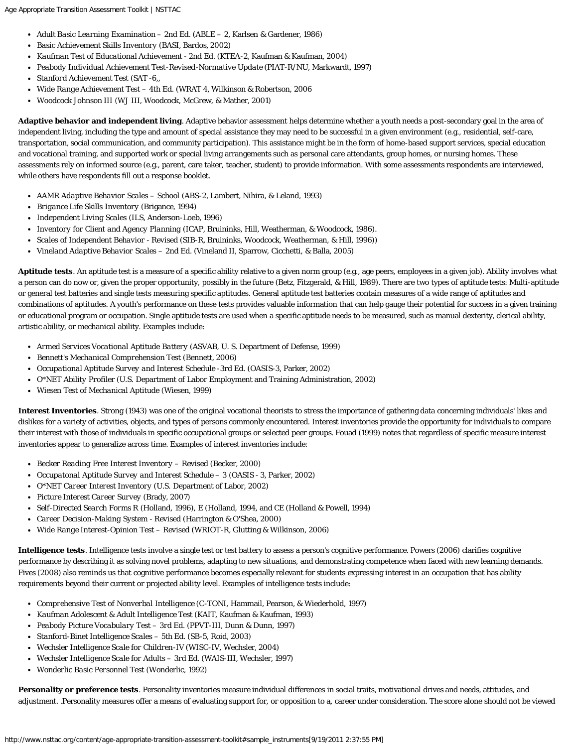- *Adult Basic Learning Examination 2nd Ed*. (ABLE 2, Karlsen & Gardener, 1986)
- *Basic Achievement Skills Inventory* (BASI, Bardos, 2002)
- *Kaufman Test of Educational Achievement* 2nd Ed. (KTEA-2, Kaufman & Kaufman, 2004)
- *Peabody Individual Achievement Test-Revised-Normative Update* (PIAT-R/NU, Markwardt, 1997)
- *Stanford Achievement Test* (SAT -6,,
- *Wide Range Achievement Test 4th Ed*. (WRAT 4, Wilkinson & Robertson, 2006
- *Woodcock Johnson III* (WJ III, Woodcock, McGrew, & Mather, 2001)  $\bullet$

**Adaptive behavior and independent living**. Adaptive behavior assessment helps determine whether a youth needs a post-secondary goal in the area of independent living, including the type and amount of special assistance they may need to be successful in a given environment (e.g., residential, self-care, transportation, social communication, and community participation). This assistance might be in the form of home-based support services, special education and vocational training, and supported work or special living arrangements such as personal care attendants, group homes, or nursing homes. These assessments rely on informed source (e.g., parent, care taker, teacher, student) to provide information. With some assessments respondents are interviewed, while others have respondents fill out a response booklet.

- *AAMR Adaptive Behavior Scales School* (ABS-2, Lambert, Nihira, & Leland, 1993)
- *Brigance Life Skills Inventory* (Brigance, 1994)
- *Independent Living Scales* (ILS, Anderson-Loeb, 1996)
- *Inventory for Client and Agency Planning* (ICAP, Bruininks, Hill, Weatherman, & Woodcock, 1986).
- *Scales of Independent Behavior Revised* (SIB-R, Bruininks, Woodcock, Weatherman, & Hill, 1996))
- *Vineland Adaptive Behavior Scales 2nd Ed*. (Vineland II, Sparrow, Cicchetti, & Balla, 2005)

**Aptitude tests**. An aptitude test is a measure of a specific ability relative to a given norm group (e.g., age peers, employees in a given job). Ability involves what a person can do now or, given the proper opportunity, possibly in the future (Betz, Fitzgerald, & Hill, 1989). There are two types of aptitude tests: Multi-aptitude or general test batteries and single tests measuring specific aptitudes. General aptitude test batteries contain measures of a wide range of aptitudes and combinations of aptitudes. A youth's performance on these tests provides valuable information that can help gauge their potential for success in a given training or educational program or occupation. Single aptitude tests are used when a specific aptitude needs to be measured, such as manual dexterity, clerical ability, artistic ability, or mechanical ability. Examples include:

- *Armed Services Vocational Aptitude Battery* (ASVAB, U. S. Department of Defense, 1999)
- *Bennett's Mechanical Comprehension Test* (Bennett, 2006)
- *Occupational Aptitude Survey and Interest Schedule -3rd Ed.* (OASIS-3, Parker, 2002)
- *O\*NET Ability Profiler* (U.S. Department of Labor Employment and Training Administration, 2002)
- *Wiesen Test of Mechanical Aptitude* (Wiesen, 1999)

**Interest Inventories**. Strong (1943) was one of the original vocational theorists to stress the importance of gathering data concerning individuals' likes and dislikes for a variety of activities, objects, and types of persons commonly encountered. Interest inventories provide the opportunity for individuals to compare their interest with those of individuals in specific occupational groups or selected peer groups. Fouad (1999) notes that regardless of specific measure interest inventories appear to generalize across time. Examples of interest inventories include:

- *Becker Reading Free Interest Inventory Revised* (Becker, 2000)
- *Occupatonal Aptitude Survey and Interest Schedule 3* (OASIS 3, Parker, 2002)
- *O\*NET Career Interest Inventory* (U.S. Department of Labor, 2002)
- *Picture Interest Career Survey* (Brady, 2007)
- *Self-Directed Search Forms R* (Holland, 1996), *E* (Holland, 1994, and *CE* (Holland & Powell, 1994)
- *Career Decision-Making System Revised* (Harrington & O'Shea, 2000)  $\bullet$
- $\bullet$ *Wide Range Interest-Opinion Test – Revised* (WRIOT-R, Glutting & Wilkinson, 2006)

**Intelligence tests**. Intelligence tests involve a single test or test battery to assess a person's cognitive performance. Powers (2006) clarifies cognitive performance by describing it as solving novel problems, adapting to new situations, and demonstrating competence when faced with new learning demands. Fives (2008) also reminds us that cognitive performance becomes especially relevant for students expressing interest in an occupation that has ability requirements beyond their current or projected ability level. Examples of intelligence tests include:

- *Comprehensive Test of Nonverbal Intelligence* (C-TONI, Hammail, Pearson, & Wiederhold, 1997)
- *Kaufman Adolescent & Adult Intelligence Test* (KAIT, Kaufman & Kaufman, 1993)
- *Peabody Picture Vocabulary Test 3rd Ed.* (PPVT-III, Dunn & Dunn, 1997)
- *Stanford-Binet Intelligence Scales 5th Ed.* (SB-5, Roid, 2003)
- *Wechsler Intelligence Scale for Children-IV* (WISC-IV, Wechsler, 2004)
- *Wechsler Intelligence Scale for Adults 3rd Ed.* (WAIS-III, Wechsler, 1997)  $\bullet$
- *Wonderlic Basic Personnel Test* (Wonderlic, 1992)  $\bullet$

Personality or preference tests. Personality inventories measure individual differences in social traits, motivational drives and needs, attitudes, and adjustment. .Personality measures offer a means of evaluating support for, or opposition to a, career under consideration. The score alone should not be viewed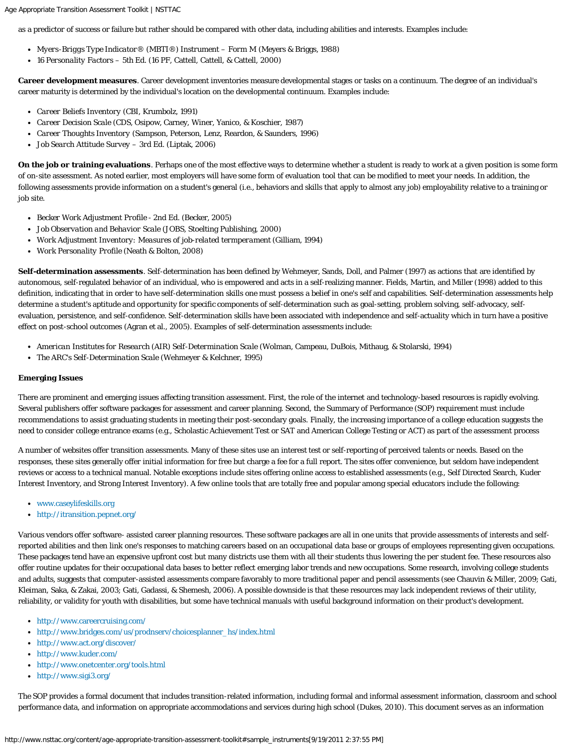as a predictor of success or failure but rather should be compared with other data, including abilities and interests. Examples include:

- *Myers-Briggs Type Indicator® (MBTI®) Instrument Form M* (Meyers & Briggs, 1988)
- *16 Personality Factors 5th Ed.* (16 PF, Cattell, Cattell, & Cattell, 2000)

**Career development measures**. Career development inventories measure developmental stages or tasks on a continuum. The degree of an individual's career maturity is determined by the individual's location on the developmental continuum. Examples include:

- *Career Beliefs Inventory* (CBI, Krumbolz, 1991)
- *Career Decision Scale* (CDS, Osipow, Carney, Winer, Yanico, & Koschier, 1987)
- *Career Thoughts Inventory* (Sampson, Peterson, Lenz, Reardon, & Saunders, 1996)
- *Job Search Attitude Survey 3rd Ed*. (Liptak, 2006)

**On the job or training evaluations**. Perhaps one of the most effective ways to determine whether a student is ready to work at a given position is some form of on-site assessment. As noted earlier, most employers will have some form of evaluation tool that can be modified to meet your needs. In addition, the following assessments provide information on a student's general (i.e., behaviors and skills that apply to almost any job) employability relative to a training or job site.

- *Becker Work Adjustment Profile 2nd Ed.* (Becker, 2005)
- *Job Observation and Behavior Scale* (JOBS, Stoelting Publishing, 2000)
- *Work Adjustment Inventory: Measures of job-related termperament* (Gilliam, 1994)
- *Work Personality Profile* (Neath & Bolton, 2008)

**Self-determination assessments**. Self-determination has been defined by Wehmeyer, Sands, Doll, and Palmer (1997) as actions that are identified by autonomous, self-regulated behavior of an individual, who is empowered and acts in a self-realizing manner. Fields, Martin, and Miller (1998) added to this definition, indicating that in order to have self-determination skills one must possess a belief in one's self and capabilities. Self-determination assessments help determine a student's aptitude and opportunity for specific components of self-determination such as goal-setting, problem solving, self-advocacy, selfevaluation, persistence, and self-confidence. Self-determination skills have been associated with independence and self-actuality which in turn have a positive effect on post-school outcomes (Agran et al., 2005). Examples of self-determination assessments include:

- *American Institutes for Research (AIR) Self-Determination Scale* (Wolman, Campeau, DuBois, Mithaug, & Stolarski, 1994)
- *The ARC's Self-Determination Scale* (Wehmeyer & Kelchner, 1995)

#### <span id="page-5-0"></span>**Emerging Issues**

There are prominent and emerging issues affecting transition assessment. First, the role of the internet and technology-based resources is rapidly evolving. Several publishers offer software packages for assessment and career planning. Second, the Summary of Performance (SOP) requirement must include recommendations to assist graduating students in meeting their post-secondary goals. Finally, the increasing importance of a college education suggests the need to consider college entrance exams (e.g., Scholastic Achievement Test or SAT and American College Testing or ACT) as part of the assessment process

A number of websites offer transition assessments. Many of these sites use an interest test or self-reporting of perceived talents or needs. Based on the responses, these sites generally offer initial information for free but charge a fee for a full report. The sites offer convenience, but seldom have independent reviews or access to a technical manual. Notable exceptions include sites offering online access to established assessments (e.g., Self Directed Search, Kuder Interest Inventory, and Strong Interest Inventory). A few online tools that are totally free and popular among special educators include the following:

- [www.caseylifeskills.org](http://www.caseylifeskills.org/)
- <http://itransition.pepnet.org/>

Various vendors offer software- assisted career planning resources. These software packages are all in one units that provide assessments of interests and selfreported abilities and then link one's responses to matching careers based on an occupational data base or groups of employees representing given occupations. These packages tend have an expensive upfront cost but many districts use them with all their students thus lowering the per student fee. These resources also offer routine updates for their occupational data bases to better reflect emerging labor trends and new occupations. Some research, involving college students and adults, suggests that computer-assisted assessments compare favorably to more traditional paper and pencil assessments (see Chauvin & Miller, 2009; Gati, Kleiman, Saka, & Zakai, 2003; Gati, Gadassi, & Shemesh, 2006). A possible downside is that these resources may lack independent reviews of their utility, reliability, or validity for youth with disabilities, but some have technical manuals with useful background information on their product's development.

- <http://www.careercruising.com/>
- [http://www.bridges.com/us/prodnserv/choicesplanner\\_hs/index.html](http://www.bridges.com/us/prodnserv/choicesplanner_hs/index.html)
- <http://www.act.org/discover/>
- <http://www.kuder.com/>
- <http://www.onetcenter.org/tools.html>
- <http://www.sigi3.org/>

The SOP provides a formal document that includes transition-related information, including formal and informal assessment information, classroom and school performance data, and information on appropriate accommodations and services during high school (Dukes, 2010). This document serves as an information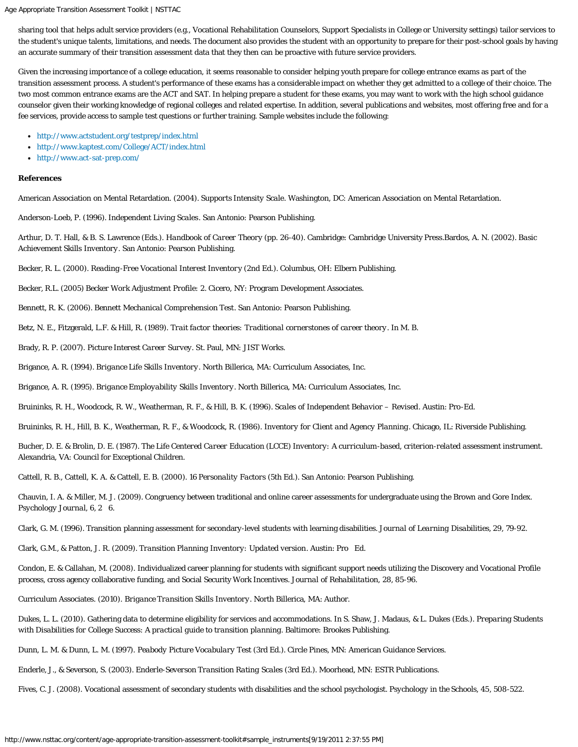sharing tool that helps adult service providers (e.g., Vocational Rehabilitation Counselors, Support Specialists in College or University settings) tailor services to the student's unique talents, limitations, and needs. The document also provides the student with an opportunity to prepare for their post-school goals by having an accurate summary of their transition assessment data that they then can be proactive with future service providers.

Given the increasing importance of a college education, it seems reasonable to consider helping youth prepare for college entrance exams as part of the transition assessment process. A student's performance of these exams has a considerable impact on whether they get admitted to a college of their choice. The two most common entrance exams are the ACT and SAT. In helping prepare a student for these exams, you may want to work with the high school guidance counselor given their working knowledge of regional colleges and related expertise. In addition, several publications and websites, most offering free and for a fee services, provide access to sample test questions or further training. Sample websites include the following:

- <http://www.actstudent.org/testprep/index.html>
- <http://www.kaptest.com/College/ACT/index.html>
- <http://www.act-sat-prep.com/>

#### **References**

American Association on Mental Retardation. (2004). *Supports Intensity Scale*. Washington, DC: American Association on Mental Retardation.

Anderson-Loeb, P. (1996). *Independent Living Scales*. San Antonio: Pearson Publishing.

Arthur, D. T. Hall, & B. S. Lawrence (Eds.). *Handbook of Career Theory* (pp. 26-40). Cambridge: Cambridge University Press.Bardos, A. N. (2002). *Basic Achievement Skills Inventory*. San Antonio: Pearson Publishing.

Becker, R. L. (2000). *Reading-Free Vocational Interest Inventor*y (2nd Ed.). Columbus, OH: Elbern Publishing.

Becker, R.L. (2005) *Becker Work Adjustment Profile: 2.* Cicero, NY: Program Development Associates.

Bennett, R. K. (2006). *Bennett Mechanical Comprehension Test*. San Antonio: Pearson Publishing.

Betz, N. E., Fitzgerald, L.F. & Hill, R. (1989). *Trait factor theories: Traditional cornerstones of career theory*. In M. B.

Brady, R. P. (2007). *Picture Interest Career Survey. S*t. Paul, MN: JIST Works.

Brigance, A. R. (1994). *Brigance Life Skills Inventory*. North Billerica, MA: Curriculum Associates, Inc.

Brigance, A. R. (1995). *Brigance Employability Skills Inventory*. North Billerica, MA: Curriculum Associates, Inc.

Bruininks, R. H., Woodcock, R. W., Weatherman, R. F., & Hill, B. K. (1996). *Scales of Independent Behavior – Revised*. Austin: Pro-Ed.

Bruininks, R. H., Hill, B. K., Weatherman, R. F., & Woodcock, R. (1986). *Inventory for Client and Agency Planning*. Chicago, IL: Riverside Publishing.

Bucher, D. E. & Brolin, D. E. (1987). *The Life Centered Career Education (LCCE) Inventory: A curriculum-based, criterion-related assessment instrument*. Alexandria, VA: Council for Exceptional Children.

Cattell, R. B., Cattell, K. A. & Cattell, E. B. (2000). *16 Personality Factors* (5th Ed.). San Antonio: Pearson Publishing.

Chauvin, I. A. & Miller, M. J. (2009). Congruency between traditional and online career assessments for undergraduate using the Brown and Gore Index. *Psychology Journal, 6,* 2 6.

Clark, G. M. (1996). Transition planning assessment for secondary-level students with learning disabilities. *Journal of Learning Disabilities, 29*, 79-92.

Clark, G.M., & Patton, J. R. (2009). *Transition Planning Inventory: Updated version*. Austin: Pro Ed.

Condon, E. & Callahan, M. (2008). Individualized career planning for students with significant support needs utilizing the Discovery and Vocational Profile process, cross agency collaborative funding, and Social Security Work Incentives. *Journal of Rehabilitation, 28,* 85-96.

Curriculum Associates. (2010). *Brigance Transition Skills Inventory*. North Billerica, MA: Author.

Dukes, L. L. (2010). Gathering data to determine eligibility for services and accommodations. In S. Shaw, J. Madaus, & L. Dukes (Eds.). *Preparing Students with Disabilities for College Success: A practical guide to transition planning.* Baltimore: Brookes Publishing.

Dunn, L. M. & Dunn, L. M. (1997). *Peabody Picture Vocabulary Test* (3rd Ed.). Circle Pines, MN: American Guidance Services.

Enderle, J., & Severson, S. (2003). *Enderle-Severson Transition Rating Scales* (3rd Ed.). Moorhead, MN: ESTR Publications.

Fives, C. J. (2008). Vocational assessment of secondary students with disabilities and the school psychologist. *Psychology in the Schools, 45*, 508-522.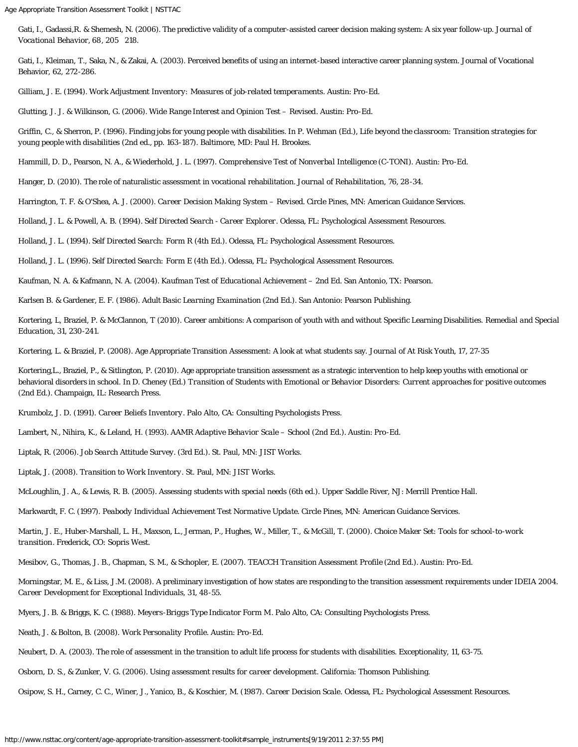Gati, I., Gadassi,R. & Shemesh, N. (2006). The predictive validity of a computer-assisted career decision making system: A six year follow-up. *Journal of Vocational Behavior, 68*, 205 218.

Gati, I., Kleiman, T., Saka, N., & Zakai, A. (2003). Perceived benefits of using an internet-based interactive career planning system. Journal of Vocational Behavior, 62, 272-286.

Gilliam, J. E. (1994). *Work Adjustment Inventory: Measures of job-related temperaments*. Austin: Pro-Ed.

Glutting, J. J. & Wilkinson, G. (2006). *Wide Range Interest and Opinion Test – Revised*. Austin: Pro-Ed.

Griffin, C., & Sherron, P. (1996). Finding jobs for young people with disabilities. In P. Wehman (Ed.), *Life beyond the classroom: Transition strategies for young people with disabilities* (2nd ed., pp. 163-187). Baltimore, MD: Paul H. Brookes.

Hammill, D. D., Pearson, N. A., & Wiederhold, J. L. (1997). *Comprehensive Test of Nonverbal Intelligence* (C-TONI). Austin: Pro-Ed.

Hanger, D. (2010). The role of naturalistic assessment in vocational rehabilitation. *Journal of Rehabilitation, 76*, 28-34.

Harrington, T. F. & O'Shea, A. J. (2000). *Career Decision Making System – Revised.* Circle Pines, MN: American Guidance Services.

Holland, J. L. & Powell, A. B. (1994). *Self Directed Search - Career Explorer*. Odessa, FL: Psychological Assessment Resources.

Holland, J. L. (1994). *Self Directed Search: Form R* (4th Ed.). Odessa, FL: Psychological Assessment Resources.

Holland, J. L. (1996). *Self Directed Search: Form E* (4th Ed.). Odessa, FL: Psychological Assessment Resources.

Kaufman, N. A. & Kafmann, N. A. (2004). *Kaufman Test of Educational Achievement – 2nd Ed*. San Antonio, TX: Pearson.

Karlsen B. & Gardener, E. F. (1986). *Adult Basic Learning Examination* (2nd Ed.). San Antonio: Pearson Publishing.

Kortering, L, Braziel, P. & McClannon, T (2010). Career ambitions: A comparison of youth with and without Specific Learning Disabilities. *Remedial and Special Education*, *31*, 230-241.

Kortering, L. & Braziel, P. (2008). Age Appropriate Transition Assessment: A look at what students say. *Journal of At Risk Youth, 17*, 27-35

Kortering,L., Braziel, P., & Sitlington, P. (2010). Age appropriate transition assessment as a strategic intervention to help keep youths with emotional or behavioral disorders in school. In D. Cheney (Ed.) T*ransition of Students with Emotional or Behavior Disorders: Current approaches for positive outcomes* (2nd Ed.). Champaign, IL: Research Press.

Krumbolz, J. D. (1991). *Career Beliefs Inventory*. Palo Alto, CA: Consulting Psychologists Press.

Lambert, N., Nihira, K., & Leland, H. (1993). *AAMR Adaptive Behavior Scale – School* (2nd Ed.). Austin: Pro-Ed.

Liptak, R. (2006). *Job Search Attitude Survey.* (3rd Ed.). St. Paul, MN: JIST Works.

Liptak, J. (2008). *Transition to Work Inventory*. St. Paul, MN: JIST Works.

McLoughlin, J. A., & Lewis, R. B. (2005). *Assessing students with special needs* (6th ed.). Upper Saddle River, NJ: Merrill Prentice Hall.

Markwardt, F. C. (1997). *Peabody Individual Achievement Test Normative Update*. Circle Pines, MN: American Guidance Services.

Martin, J. E., Huber-Marshall, L. H., Maxson, L., Jerman, P., Hughes, W., Miller, T., & McGill, T. (2000). *Choice Maker Set: Tools for school-to-work transition*. Frederick, CO: Sopris West.

Mesibov, G., Thomas, J. B., Chapman, S. M., & Schopler, E. (2007). *TEACCH Transition Assessment Profile* (2nd Ed.). Austin: Pro-Ed.

Morningstar, M. E., & Liss, J.M. (2008). A preliminary investigation of how states are responding to the transition assessment requirements under IDEIA 2004. *Career Development for Exceptional Individuals, 31*, 48-55.

Myers, J. B. & Briggs, K. C. (1988). *Meyers-Briggs Type Indicator Form M*. Palo Alto, CA: Consulting Psychologists Press.

Neath, J. & Bolton, B. (2008). *Work Personality Profile*. Austin: Pro-Ed.

Neubert, D. A. (2003). The role of assessment in the transition to adult life process for students with disabilities. Exceptionality, 11, 63-75.

Osborn, D. S., & Zunker, V. G. (2006). *Using assessment results for career development*. California: Thomson Publishing.

Osipow, S. H., Carney, C. C., Winer, J., Yanico, B., & Koschier, M. (1987). *Career Decision Scale*. Odessa, FL: Psychological Assessment Resources.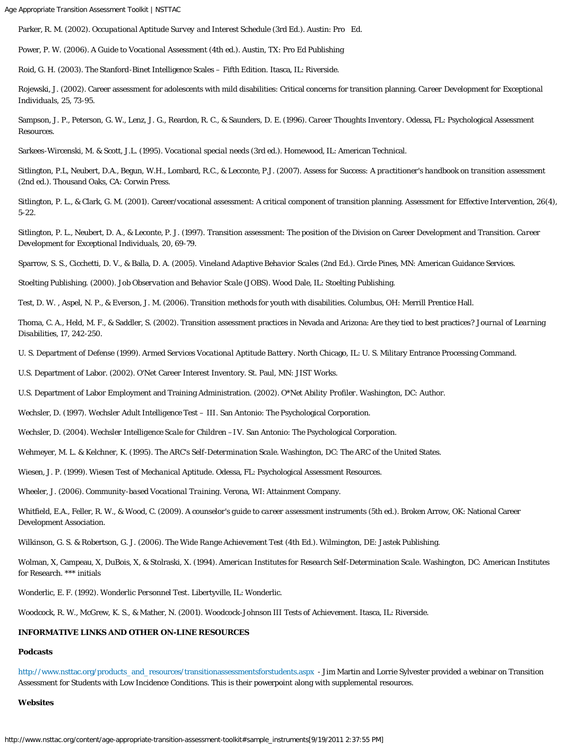Parker, R. M. (2002). *Occupational Aptitude Survey and Interest Schedule* (3rd Ed.). Austin: Pro Ed.

Power, P. W. (2006). *A Guide to Vocational Assessmen*t (4th ed.). Austin, TX: Pro Ed Publishing

Roid, G. H. (2003). The Stanford-Binet Intelligence Scales – Fifth Edition. Itasca, IL: Riverside.

Rojewski, J. (2002). Career assessment for adolescents with mild disabilities: Critical concerns for transition planning. *Career Development for Exceptional Individuals, 25,* 73-95.

Sampson, J. P., Peterson, G. W., Lenz, J. G., Reardon, R. C., & Saunders, D. E. (1996). *Career Thoughts Inventory*. Odessa, FL: Psychological Assessment Resources.

Sarkees-Wircenski, M. & Scott, J.L. (1995). *Vocational special need*s (3rd ed.). Homewood, IL: American Technical.

Sitlington, P.L, Neubert, D.A., Begun, W.H., Lombard, R.C., & Lecconte, P.J. (2007). *Assess for Success: A practitioner's handbook on transition assessment* (2nd ed.). Thousand Oaks, CA: Corwin Press.

Sitlington, P. L., & Clark, G. M. (2001). Career/vocational assessment: A critical component of transition planning. *Assessment for Effective Intervention, 26*(4), 5-22.

Sitlington, P. L., Neubert, D. A., & Leconte, P. J. (1997). Transition assessment: The position of the Division on Career Development and Transition. *Career Development for Exceptional Individuals, 20,* 69-79.

Sparrow, S. S., Cicchetti, D. V., & Balla, D. A. (2005). *Vineland Adaptive Behavior Scales* (2nd Ed.). Circle Pines, MN: American Guidance Services.

Stoelting Publishing. (2000). *Job Observation and Behavior Scale* (JOBS). Wood Dale, IL: Stoelting Publishing.

Test, D. W. , Aspel, N. P., & Everson, J. M. (2006). Transition methods for youth with disabilities. Columbus, OH: Merrill Prentice Hall.

Thoma, C. A., Held, M. F., & Saddler, S. (2002). Transition assessment practices in Nevada and Arizona: Are they tied to best practices? *Journal of Learning Disabilities, 17*, 242-250.

U. S. Department of Defense (1999). *Armed Services Vocational Aptitude Battery*. North Chicago, IL: U. S. Military Entrance Processing Command.

U.S. Department of Labor. (2002). O'Net Career Interest Inventory. St. Paul, MN: JIST Works.

U.S. Department of Labor Employment and Training Administration. (2002). *O\*Net Ability Profiler*. Washington, DC: Author.

Wechsler, D. (1997). *Wechsler Adult Intelligence Test – III*. San Antonio: The Psychological Corporation.

Wechsler, D. (2004). *Wechsler Intelligence Scale for Children –I*V. San Antonio: The Psychological Corporation.

Wehmeyer, M. L. & Kelchner, K. (1995). *The ARC's Self-Determination Scale.* Washington, DC: The ARC of the United States.

Wiesen, J. P. (1999). *Wiesen Test of Mechanical Aptitude*. Odessa, FL: Psychological Assessment Resources.

Wheeler, J. (2006). *Community-based Vocational Training*. Verona, WI: Attainment Company.

Whitfield, E.A., Feller, R. W., & Wood, C. (2009). *A counselor's guide to career assessment instruments* (5th ed.). Broken Arrow, OK: National Career Development Association.

Wilkinson, G. S. & Robertson, G. J. (2006). *The Wide Range Achievement Test* (4th Ed.). Wilmington, DE: Jastek Publishing.

Wolman, X, Campeau, X, DuBois, X, & Stolraski, X. (1994). *American Institutes for Research Self-Determination Scale*. Washington, DC: American Institutes for Research. \*\*\* initials

Wonderlic, E. F. (1992). *Wonderlic Personnel Test*. Libertyville, IL: Wonderlic.

Woodcock, R. W., McGrew, K. S., & Mather, N. (2001). *Woodcock-Johnson III Tests of Achievement*. Itasca, IL: Riverside.

## <span id="page-8-0"></span>**INFORMATIVE LINKS AND OTHER ON-LINE RESOURCES**

# **Podcasts**

[http://www.nsttac.org/products\\_and\\_resources/transitionassessmentsforstudents.aspx](http://nsttac.appstate.edu/content/transition-assessments-students-severe-and-multiple-disabilities-webinar) - Jim Martin and Lorrie Sylvester provided a webinar on Transition Assessment for Students with Low Incidence Conditions. This is their powerpoint along with supplemental resources.

#### **Websites**